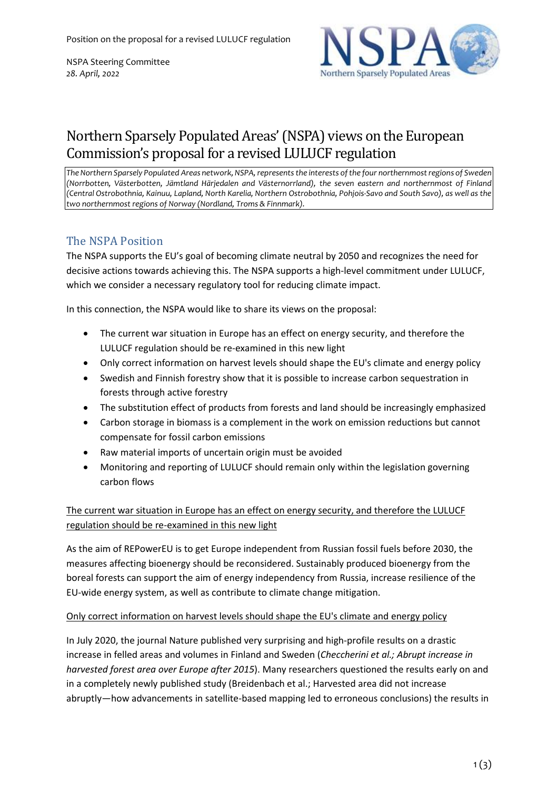NSPA Steering Committee *28. April, 2022*



# Northern Sparsely Populated Areas'(NSPA) views on the European Commission's proposal for a revised LULUCF regulation

*The Northern Sparsely Populated Areas network, NSPA,representsthe interests ofthe four northernmostregions of Sweden (Norrbotten, Västerbotten, Jämtland Härjedalen and Västernorrland), the seven eastern and northernmost of Finland* (Central Ostrobothnia, Kainuu, Lapland, North Karelia, Northern Ostrobothnia, Pohjois-Savo and South Savo), as well as the *two northernmost regions of Norway (Nordland, Troms & Finnmark).*

## The NSPA Position

The NSPA supports the EU's goal of becoming climate neutral by 2050 and recognizes the need for decisive actions towards achieving this. The NSPA supports a high-level commitment under LULUCF, which we consider a necessary regulatory tool for reducing climate impact.

In this connection, the NSPA would like to share its views on the proposal:

- The current war situation in Europe has an effect on energy security, and therefore the LULUCF regulation should be re-examined in this new light
- Only correct information on harvest levels should shape the EU's climate and energy policy
- Swedish and Finnish forestry show that it is possible to increase carbon sequestration in forests through active forestry
- The substitution effect of products from forests and land should be increasingly emphasized
- Carbon storage in biomass is a complement in the work on emission reductions but cannot compensate for fossil carbon emissions
- Raw material imports of uncertain origin must be avoided
- Monitoring and reporting of LULUCF should remain only within the legislation governing carbon flows

The current war situation in Europe has an effect on energy security, and therefore the LULUCF regulation should be re-examined in this new light

As the aim of REPowerEU is to get Europe independent from Russian fossil fuels before 2030, the measures affecting bioenergy should be reconsidered. Sustainably produced bioenergy from the boreal forests can support the aim of energy independency from Russia, increase resilience of the EU-wide energy system, as well as contribute to climate change mitigation.

#### Only correct information on harvest levels should shape the EU's climate and energy policy

In July 2020, the journal Nature published very surprising and high-profile results on a drastic increase in felled areas and volumes in Finland and Sweden (*Checcherini et al.; Abrupt increase in harvested forest area over Europe after 2015*). Many researchers questioned the results early on and in a completely newly published study (Breidenbach et al.; Harvested area did not increase abruptly—how advancements in satellite-based mapping led to erroneous conclusions) the results in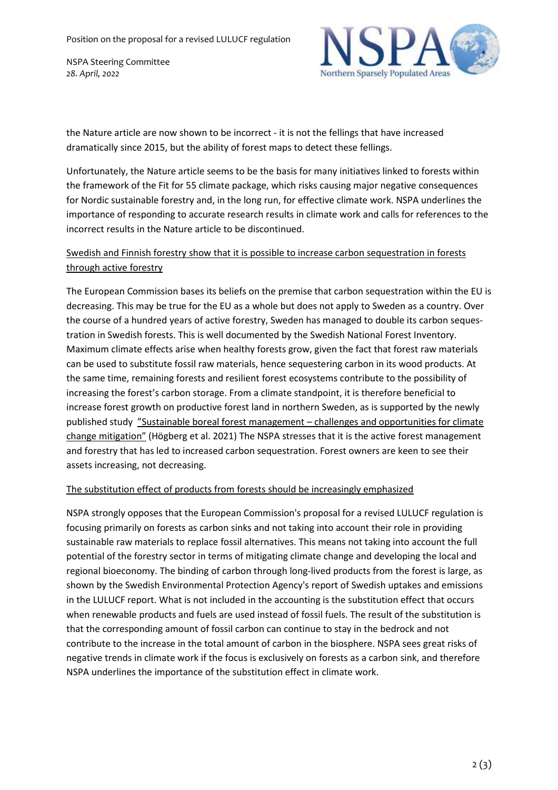NSPA Steering Committee *28. April, 2022*



the Nature article are now shown to be incorrect - it is not the fellings that have increased dramatically since 2015, but the ability of forest maps to detect these fellings.

Unfortunately, the Nature article seems to be the basis for many initiatives linked to forests within the framework of the Fit for 55 climate package, which risks causing major negative consequences for Nordic sustainable forestry and, in the long run, for effective climate work. NSPA underlines the importance of responding to accurate research results in climate work and calls for references to the incorrect results in the Nature article to be discontinued.

### Swedish and Finnish forestry show that it is possible to increase carbon sequestration in forests through active forestry

The European Commission bases its beliefs on the premise that carbon sequestration within the EU is decreasing. This may be true for the EU as a whole but does not apply to Sweden as a country. Over the course of a hundred years of active forestry, Sweden has managed to double its carbon sequestration in Swedish forests. This is well documented by the Swedish National Forest Inventory. Maximum climate effects arise when healthy forests grow, given the fact that forest raw materials can be used to substitute fossil raw materials, hence sequestering carbon in its wood products. At the same time, remaining forests and resilient forest ecosystems contribute to the possibility of increasing the forest's carbon storage. From a climate standpoint, it is therefore beneficial to increase forest growth on productive forest land in northern Sweden, as is supported by the newly published study "Sustainable boreal forest management – challenges and [opportunities](https://www.skogsstyrelsen.se/globalassets/om-oss/rapporter/rapporter-2021202020192018/rapport-2021-11-sustainable-boreal-forest-management-challenges-and-opportunities-for-climate-change-mitigation-002.pdf) for climate change [mitigation"](https://www.skogsstyrelsen.se/globalassets/om-oss/rapporter/rapporter-2021202020192018/rapport-2021-11-sustainable-boreal-forest-management-challenges-and-opportunities-for-climate-change-mitigation-002.pdf) (Högberg et al. 2021) The NSPA stresses that it is the active forest management and forestry that has led to increased carbon sequestration. Forest owners are keen to see their assets increasing, not decreasing.

#### The substitution effect of products from forests should be increasingly emphasized

NSPA strongly opposes that the European Commission's proposal for a revised LULUCF regulation is focusing primarily on forests as carbon sinks and not taking into account their role in providing sustainable raw materials to replace fossil alternatives. This means not taking into account the full potential of the forestry sector in terms of mitigating climate change and developing the local and regional bioeconomy. The binding of carbon through long-lived products from the forest is large, as shown by the Swedish Environmental Protection Agency's report of Swedish uptakes and emissions in the LULUCF report. What is not included in the accounting is the substitution effect that occurs when renewable products and fuels are used instead of fossil fuels. The result of the substitution is that the corresponding amount of fossil carbon can continue to stay in the bedrock and not contribute to the increase in the total amount of carbon in the biosphere. NSPA sees great risks of negative trends in climate work if the focus is exclusively on forests as a carbon sink, and therefore NSPA underlines the importance of the substitution effect in climate work.